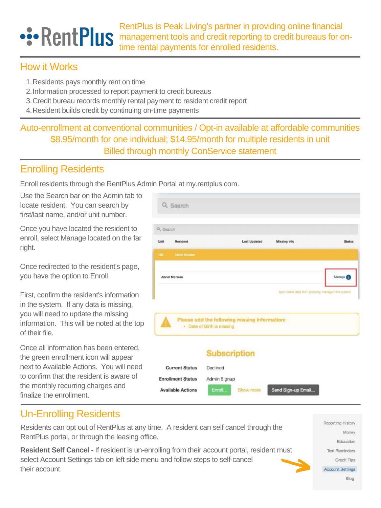Once you have located the resident to enroll, select Manage located on the far right.

| and the state of the state of the state of the state of the state of the state of the state of the state of the |  |  |  |  |
|-----------------------------------------------------------------------------------------------------------------|--|--|--|--|

| <b>Last Updated</b>                           | Missing Info | <b>Status</b> |
|-----------------------------------------------|--------------|---------------|
|                                               |              |               |
| Q Search<br><b>Resident</b><br>Abriel Morales |              |               |

Once redirected to the resident's page, you have the option to Enroll.

First, confirm the resident's information in the system. If any data is missing, you will need to update the missing information. This will be noted at the top of their file.

Auto-enrollment at conventional communities / Opt-in available at affordable communities \$8.95/month for one individual; \$14.95/month for multiple residents in unit Billed through monthly ConService statement

# •:• RentPlus

RentPlus is Peak Living's partner in providing online financial management tools and credit reporting to credit bureaus for ontime rental payments for enrolled residents.

## How it Works

- 1. Residents pays monthly rent on time
- 2. Information processed to report payment to credit bureaus
- 3. Credit bureau records monthly rental payment to resident credit report
- 4. Resident builds credit by continuing on-time payments

### Enrolling Residents

Enroll residents through the RentPlus Admin Portal at my.rentplus.com.

Use the Search bar on the Admin tab to locate resident. You can search by first/last name, and/or unit number.

Once all information has been entered, the green enrollment icon will appear next to Available Actions. You will need to confirm that the resident is aware of the monthly recurring charges and finalize the enrollment.

### Un-Enrolling Residents

Residents can opt out of RentPlus at any time. A resident can self cancel through the RentPlus portal, or through the leasing office.

**Resident Self Cancel -** If resident is un-enrolling from their account portal, resident must select Account Settings tab on left side menu and follow steps to self-cancel their account.



Reporting History

Money

Education

**Credit Tips** 

Blog

**Text Reminders** 

Account Settings